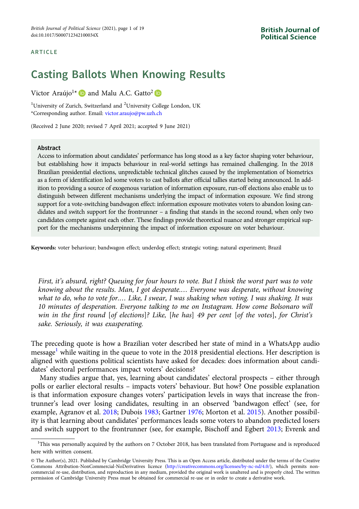#### ARTICLE

# Casting Ballots When Knowing Results

Victor Araújo<sup>1\*</sup> **D** and Malu A.C. Gatto<sup>2</sup> **D** 

<sup>1</sup>University of Zurich, Switzerland and <sup>2</sup>University College London, UK \*Corresponding author. Email: [victor.araujo@pw.uzh.ch](mailto:victor.araujo@pw.uzh.ch)

(Received 2 June 2020; revised 7 April 2021; accepted 9 June 2021)

#### Abstract

Access to information about candidates' performance has long stood as a key factor shaping voter behaviour, but establishing how it impacts behaviour in real-world settings has remained challenging. In the 2018 Brazilian presidential elections, unpredictable technical glitches caused by the implementation of biometrics as a form of identification led some voters to cast ballots after official tallies started being announced. In addition to providing a source of exogenous variation of information exposure, run-off elections also enable us to distinguish between different mechanisms underlying the impact of information exposure. We find strong support for a vote-switching bandwagon effect: information exposure motivates voters to abandon losing candidates and switch support for the frontrunner – a finding that stands in the second round, when only two candidates compete against each other. These findings provide theoretical nuance and stronger empirical support for the mechanisms underpinning the impact of information exposure on voter behaviour.

Keywords: voter behaviour; bandwagon effect; underdog effect; strategic voting; natural experiment; Brazil

First, it's absurd, right? Queuing for four hours to vote. But I think the worst part was to vote knowing about the results. Man, I got desperate.… Everyone was desperate, without knowing what to do, who to vote for.… Like, I swear, I was shaking when voting. I was shaking. It was 10 minutes of desperation. Everyone talking to me on Instagram. How come Bolsonaro will win in the first round [of elections]? Like, [he has] 49 per cent [of the votes], for Christ's sake. Seriously, it was exasperating.

The preceding quote is how a Brazilian voter described her state of mind in a WhatsApp audio message<sup>1</sup> while waiting in the queue to vote in the 2018 presidential elections. Her description is aligned with questions political scientists have asked for decades: does information about candidates' electoral performances impact voters' decisions?

Many studies argue that, yes, learning about candidates' electoral prospects – either through polls or earlier electoral results – impacts voters' behaviour. But how? One possible explanation is that information exposure changes voters' participation levels in ways that increase the frontrunner's lead over losing candidates, resulting in an observed 'bandwagon effect' (see, for example, Agranov et al. [2018;](#page-16-0) Dubois [1983;](#page-16-0) Gartner [1976;](#page-17-0) Morton et al. [2015](#page-17-0)). Another possibility is that learning about candidates' performances leads some voters to abandon predicted losers and switch support to the frontrunner (see, for example, Bischoff and Egbert [2013](#page-16-0); Evrenk and

<sup>&</sup>lt;sup>1</sup>This was personally acquired by the authors on 7 October 2018, has been translated from Portuguese and is reproduced here with written consent.

<sup>©</sup> The Author(s), 2021. Published by Cambridge University Press. This is an Open Access article, distributed under the terms of the Creative Commons Attribution-NonCommercial-NoDerivatives licence [\(http://creativecommons.org/licenses/by-nc-nd/4.0/\)](http://creativecommons.org/licenses/by-nc-nd/4.0/), which permits noncommercial re-use, distribution, and reproduction in any medium, provided the original work is unaltered and is properly cited. The written permission of Cambridge University Press must be obtained for commercial re-use or in order to create a derivative work.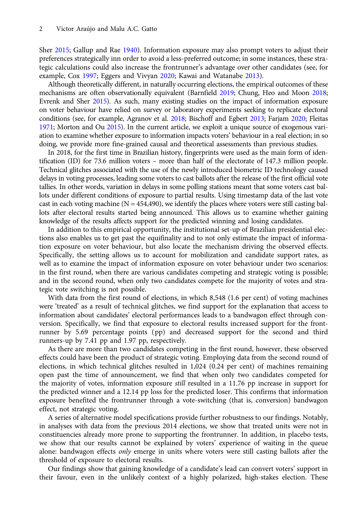Sher [2015](#page-16-0); Gallup and Rae [1940\)](#page-17-0). Information exposure may also prompt voters to adjust their preferences strategically inn order to avoid a less-preferred outcome; in some instances, these strategic calculations could also increase the frontrunner's advantage over other candidates (see, for example, Cox [1997;](#page-16-0) Eggers and Vivyan [2020;](#page-16-0) Kawai and Watanabe [2013\)](#page-17-0).

Although theoretically different, in naturally occurring elections, the empirical outcomes of these mechanisms are often observationally equivalent (Barnfield [2019](#page-16-0); Chung, Heo and Moon [2018](#page-16-0); Evrenk and Sher [2015\)](#page-16-0). As such, many existing studies on the impact of information exposure on voter behaviour have relied on survey or laboratory experiments seeking to replicate electoral conditions (see, for example, Agranov et al. [2018](#page-16-0); Bischoff and Egbert [2013](#page-16-0); Farjam [2020;](#page-17-0) Fleitas [1971](#page-17-0); Morton and Ou [2015](#page-17-0)). In the current article, we exploit a unique source of exogenous variation to examine whether exposure to information impacts voters' behaviour in a real election; in so doing, we provide more fine-grained causal and theoretical assessments than previous studies.

In 2018, for the first time in Brazilian history, fingerprints were used as the main form of identification (ID) for 73.6 million voters – more than half of the electorate of 147.3 million people. Technical glitches associated with the use of the newly introduced biometric ID technology caused delays in voting processes, leading some voters to cast ballots after the release of the first official vote tallies. In other words, variation in delays in some polling stations meant that some voters cast ballots under different conditions of exposure to partial results. Using timestamp data of the last vote cast in each voting machine ( $N = 454,490$ ), we identify the places where voters were still casting ballots after electoral results started being announced. This allows us to examine whether gaining knowledge of the results affects support for the predicted winning and losing candidates.

In addition to this empirical opportunity, the institutional set-up of Brazilian presidential elections also enables us to get past the equifinality and to not only estimate the impact of information exposure on voter behaviour, but also locate the mechanism driving the observed effects. Specifically, the setting allows us to account for mobilization and candidate support rates, as well as to examine the impact of information exposure on voter behaviour under two scenarios: in the first round, when there are various candidates competing and strategic voting is possible; and in the second round, when only two candidates compete for the majority of votes and strategic vote switching is not possible.

With data from the first round of elections, in which 8,548 (1.6 per cent) of voting machines were 'treated' as a result of technical glitches, we find support for the explanation that access to information about candidates' electoral performances leads to a bandwagon effect through conversion. Specifically, we find that exposure to electoral results increased support for the frontrunner by 5.69 percentage points (pp) and decreased support for the second and third runners-up by 7.41 pp and 1.97 pp, respectively.

As there are more than two candidates competing in the first round, however, these observed effects could have been the product of strategic voting. Employing data from the second round of elections, in which technical glitches resulted in 1,024 (0.24 per cent) of machines remaining open past the time of announcement, we find that when only two candidates competed for the majority of votes, information exposure still resulted in a 11.76 pp increase in support for the predicted winner and a 12.14 pp loss for the predicted loser. This confirms that information exposure benefited the frontrunner through a vote-switching (that is, conversion) bandwagon effect, not strategic voting.

A series of alternative model specifications provide further robustness to our findings. Notably, in analyses with data from the previous 2014 elections, we show that treated units were not in constituencies already more prone to supporting the frontrunner. In addition, in placebo tests, we show that our results cannot be explained by voters' experience of waiting in the queue alone: bandwagon effects only emerge in units where voters were still casting ballots after the threshold of exposure to electoral results.

Our findings show that gaining knowledge of a candidate's lead can convert voters' support in their favour, even in the unlikely context of a highly polarized, high-stakes election. These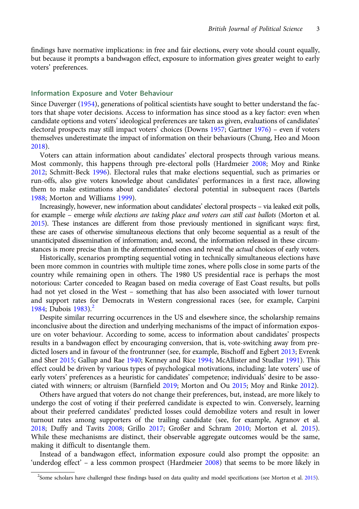findings have normative implications: in free and fair elections, every vote should count equally, but because it prompts a bandwagon effect, exposure to information gives greater weight to early voters' preferences.

## Information Exposure and Voter Behaviour

Since Duverger ([1954](#page-16-0)), generations of political scientists have sought to better understand the factors that shape voter decisions. Access to information has since stood as a key factor: even when candidate options and voters' ideological preferences are taken as given, evaluations of candidates' electoral prospects may still impact voters' choices (Downs [1957;](#page-16-0) Gartner [1976](#page-17-0)) – even if voters themselves underestimate the impact of information on their behaviours (Chung, Heo and Moon [2018](#page-16-0)).

Voters can attain information about candidates' electoral prospects through various means. Most commonly, this happens through pre-electoral polls (Hardmeier [2008;](#page-17-0) Moy and Rinke [2012](#page-17-0); Schmitt-Beck [1996\)](#page-18-0). Electoral rules that make elections sequential, such as primaries or run-offs, also give voters knowledge about candidates' performances in a first race, allowing them to make estimations about candidates' electoral potential in subsequent races (Bartels [1988](#page-16-0); Morton and Williams [1999\)](#page-17-0).

Increasingly, however, new information about candidates' electoral prospects – via leaked exit polls, for example – emerge while elections are taking place and voters can still cast ballots (Morton et al. [2015](#page-17-0)). These instances are different from those previously mentioned in significant ways: first, these are cases of otherwise simultaneous elections that only become sequential as a result of the unanticipated dissemination of information; and, second, the information released in these circumstances is more precise than in the aforementioned ones and reveal the *actual* choices of early voters.

Historically, scenarios prompting sequential voting in technically simultaneous elections have been more common in countries with multiple time zones, where polls close in some parts of the country while remaining open in others. The 1980 US presidential race is perhaps the most notorious: Carter conceded to Reagan based on media coverage of East Coast results, but polls had not yet closed in the West – something that has also been associated with lower turnout and support rates for Democrats in Western congressional races (see, for example, Carpini [1984](#page-16-0); Dubois  $1983$ <sup>2</sup>

Despite similar recurring occurrences in the US and elsewhere since, the scholarship remains inconclusive about the direction and underlying mechanisms of the impact of information exposure on voter behaviour. According to some, access to information about candidates' prospects results in a bandwagon effect by encouraging conversion, that is, vote-switching away from predicted losers and in favour of the frontrunner (see, for example, Bischoff and Egbert [2013;](#page-16-0) Evrenk and Sher [2015;](#page-16-0) Gallup and Rae [1940;](#page-17-0) Kenney and Rice [1994](#page-17-0); McAllister and Studlar [1991](#page-17-0)). This effect could be driven by various types of psychological motivations, including: late voters' use of early voters' preferences as a heuristic for candidates' competence; individuals' desire to be associated with winners; or altruism (Barnfield [2019](#page-16-0); Morton and Ou [2015;](#page-17-0) Moy and Rinke [2012](#page-17-0)).

Others have argued that voters do not change their preferences, but, instead, are more likely to undergo the cost of voting if their preferred candidate is expected to win. Conversely, learning about their preferred candidates' predicted losses could demobilize voters and result in lower turnout rates among supporters of the trailing candidate (see, for example, Agranov et al. [2018](#page-16-0); Duffy and Tavits [2008](#page-16-0); Grillo [2017](#page-17-0); Großer and Schram [2010;](#page-17-0) Morton et al. [2015\)](#page-17-0). While these mechanisms are distinct, their observable aggregate outcomes would be the same, making it difficult to disentangle them.

Instead of a bandwagon effect, information exposure could also prompt the opposite: an 'underdog effect' – a less common prospect (Hardmeier [2008](#page-17-0)) that seems to be more likely in

<sup>2</sup> Some scholars have challenged these findings based on data quality and model specifications (see Morton et al. [2015](#page-17-0)).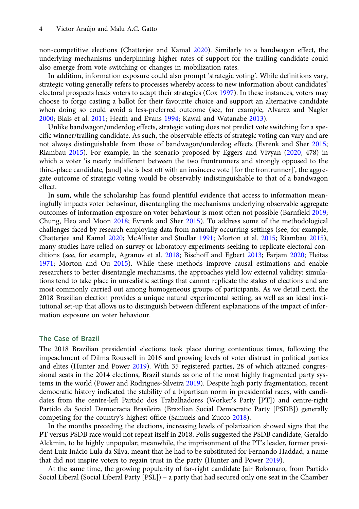non-competitive elections (Chatterjee and Kamal [2020\)](#page-16-0). Similarly to a bandwagon effect, the underlying mechanisms underpinning higher rates of support for the trailing candidate could also emerge from vote switching or changes in mobilization rates.

In addition, information exposure could also prompt 'strategic voting'. While definitions vary, strategic voting generally refers to processes whereby access to new information about candidates' electoral prospects leads voters to adapt their strategies (Cox [1997](#page-16-0)). In these instances, voters may choose to forgo casting a ballot for their favourite choice and support an alternative candidate when doing so could avoid a less-preferred outcome (see, for example, Alvarez and Nagler [2000;](#page-16-0) Blais et al. [2011](#page-16-0); Heath and Evans [1994](#page-17-0); Kawai and Watanabe [2013](#page-17-0)).

Unlike bandwagon/underdog effects, strategic voting does not predict vote switching for a specific winner/trailing candidate. As such, the observable effects of strategic voting can vary and are not always distinguishable from those of bandwagon/underdog effects (Evrenk and Sher [2015](#page-16-0); Riambau [2015](#page-18-0)). For example, in the scenario proposed by Eggers and Vivyan ([2020,](#page-16-0) 478) in which a voter 'is nearly indifferent between the two frontrunners and strongly opposed to the third-place candidate, [and] she is best off with an insincere vote [for the frontrunner]', the aggregate outcome of strategic voting would be observably indistinguishable to that of a bandwagon effect.

In sum, while the scholarship has found plentiful evidence that access to information meaningfully impacts voter behaviour, disentangling the mechanisms underlying observable aggregate outcomes of information exposure on voter behaviour is most often not possible (Barnfield [2019](#page-16-0); Chung, Heo and Moon [2018;](#page-16-0) Evrenk and Sher [2015](#page-16-0)). To address some of the methodological challenges faced by research employing data from naturally occurring settings (see, for example, Chatterjee and Kamal [2020;](#page-16-0) McAllister and Studlar [1991](#page-17-0); Morton et al. [2015;](#page-17-0) Riambau [2015\)](#page-18-0), many studies have relied on survey or laboratory experiments seeking to replicate electoral conditions (see, for example, Agranov et al. [2018;](#page-16-0) Bischoff and Egbert [2013;](#page-16-0) Farjam [2020](#page-17-0); Fleitas [1971;](#page-17-0) Morton and Ou [2015](#page-17-0)). While these methods improve causal estimations and enable researchers to better disentangle mechanisms, the approaches yield low external validity: simulations tend to take place in unrealistic settings that cannot replicate the stakes of elections and are most commonly carried out among homogeneous groups of participants. As we detail next, the 2018 Brazilian election provides a unique natural experimental setting, as well as an ideal institutional set-up that allows us to distinguish between different explanations of the impact of information exposure on voter behaviour.

# The Case of Brazil

The 2018 Brazilian presidential elections took place during contentious times, following the impeachment of Dilma Rousseff in 2016 and growing levels of voter distrust in political parties and elites (Hunter and Power [2019\)](#page-17-0). With 35 registered parties, 28 of which attained congressional seats in the 2014 elections, Brazil stands as one of the most highly fragmented party sys-tems in the world (Power and Rodrigues-Silveira [2019](#page-17-0)). Despite high party fragmentation, recent democratic history indicated the stability of a bipartisan norm in presidential races, with candidates from the centre-left Partido dos Trabalhadores (Worker's Party [PT]) and centre-right Partido da Social Democracia Brasileira (Brazilian Social Democratic Party [PSDB]) generally competing for the country's highest office (Samuels and Zucco [2018](#page-18-0)).

In the months preceding the elections, increasing levels of polarization showed signs that the PT versus PSDB race would not repeat itself in 2018. Polls suggested the PSDB candidate, Geraldo Alckmin, to be highly unpopular; meanwhile, the imprisonment of the PT's leader, former president Luiz Inácio Lula da Silva, meant that he had to be substituted for Fernando Haddad, a name that did not inspire voters to regain trust in the party (Hunter and Power [2019\)](#page-17-0).

At the same time, the growing popularity of far-right candidate Jair Bolsonaro, from Partido Social Liberal (Social Liberal Party [PSL]) – a party that had secured only one seat in the Chamber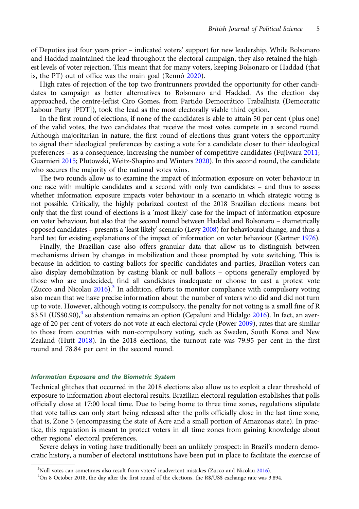of Deputies just four years prior – indicated voters' support for new leadership. While Bolsonaro and Haddad maintained the lead throughout the electoral campaign, they also retained the highest levels of voter rejection. This meant that for many voters, keeping Bolsonaro or Haddad (that is, the PT) out of office was the main goal (Rennó [2020](#page-17-0)).

High rates of rejection of the top two frontrunners provided the opportunity for other candidates to campaign as better alternatives to Bolsonaro and Haddad. As the election day approached, the centre-leftist Ciro Gomes, from Partido Democrático Trabalhista (Democratic Labour Party [PDT]), took the lead as the most electorally viable third option.

In the first round of elections, if none of the candidates is able to attain 50 per cent (plus one) of the valid votes, the two candidates that receive the most votes compete in a second round. Although majoritarian in nature, the first round of elections thus grant voters the opportunity to signal their ideological preferences by casting a vote for a candidate closer to their ideological preferences – as a consequence, increasing the number of competitive candidates (Fujiwara [2011](#page-17-0); Guarnieri [2015](#page-17-0); Plutowski, Weitz-Shapiro and Winters [2020\)](#page-17-0). In this second round, the candidate who secures the majority of the national votes wins.

The two rounds allow us to examine the impact of information exposure on voter behaviour in one race with multiple candidates and a second with only two candidates – and thus to assess whether information exposure impacts voter behaviour in a scenario in which strategic voting is not possible. Critically, the highly polarized context of the 2018 Brazilian elections means bot only that the first round of elections is a 'most likely' case for the impact of information exposure on voter behaviour, but also that the second round between Haddad and Bolsonaro – diametrically opposed candidates – presents a 'least likely' scenario (Levy [2008](#page-17-0)) for behavioural change, and thus a hard test for existing explanations of the impact of information on voter behaviour (Gartner [1976\)](#page-17-0).

Finally, the Brazilian case also offers granular data that allow us to distinguish between mechanisms driven by changes in mobilization and those prompted by vote switching. This is because in addition to casting ballots for specific candidates and parties, Brazilian voters can also display demobilization by casting blank or null ballots – options generally employed by those who are undecided, find all candidates inadequate or choose to cast a protest vote (Zucco and Nicolau  $2016$ ).<sup>3</sup> In addition, efforts to monitor compliance with compulsory voting also mean that we have precise information about the number of voters who did and did not turn up to vote. However, although voting is compulsory, the penalty for not voting is a small fine of R  $$3.51$  (US\$0.90),<sup>4</sup> so abstention remains an option (Cepaluni and Hidalgo [2016\)](#page-16-0). In fact, an aver-age of 20 per cent of voters do not vote at each electoral cycle (Power [2009\)](#page-17-0), rates that are similar to those from countries with non-compulsory voting, such as Sweden, South Korea and New Zealand (Hutt [2018\)](#page-17-0). In the 2018 elections, the turnout rate was 79.95 per cent in the first round and 78.84 per cent in the second round.

## Information Exposure and the Biometric System

Technical glitches that occurred in the 2018 elections also allow us to exploit a clear threshold of exposure to information about electoral results. Brazilian electoral regulation establishes that polls officially close at 17:00 local time. Due to being home to three time zones, regulations stipulate that vote tallies can only start being released after the polls officially close in the last time zone, that is, Zone 5 (encompassing the state of Acre and a small portion of Amazonas state). In practice, this regulation is meant to protect voters in all time zones from gaining knowledge about other regions' electoral preferences.

Severe delays in voting have traditionally been an unlikely prospect: in Brazil's modern democratic history, a number of electoral institutions have been put in place to facilitate the exercise of

<sup>&</sup>lt;sup>3</sup> Null votes can sometimes also result from voters' inadvertent mistakes (Zucco and Nicolau [2016](#page-18-0)).<br><sup>4</sup>On 8 October 2018, the day after the first round of the elections, the R\$/US\$ exchange rate was 3

<sup>&</sup>lt;sup>4</sup>On 8 October 2018, the day after the first round of the elections, the R\$/US\$ exchange rate was 3.894.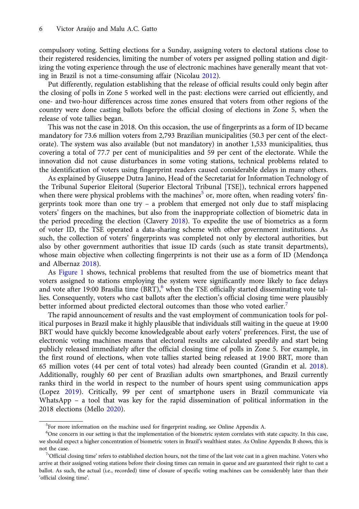compulsory voting. Setting elections for a Sunday, assigning voters to electoral stations close to their registered residencies, limiting the number of voters per assigned polling station and digitizing the voting experience through the use of electronic machines have generally meant that voting in Brazil is not a time-consuming affair (Nicolau [2012](#page-17-0)).

Put differently, regulation establishing that the release of official results could only begin after the closing of polls in Zone 5 worked well in the past: elections were carried out efficiently, and one- and two-hour differences across time zones ensured that voters from other regions of the country were done casting ballots before the official closing of elections in Zone 5, when the release of vote tallies began.

This was not the case in 2018. On this occasion, the use of fingerprints as a form of ID became mandatory for 73.6 million voters from 2,793 Brazilian municipalities (50.3 per cent of the electorate). The system was also available (but not mandatory) in another 1,533 municipalities, thus covering a total of 77.7 per cent of municipalities and 59 per cent of the electorate. While the innovation did not cause disturbances in some voting stations, technical problems related to the identification of voters using fingerprint readers caused considerable delays in many others.

As explained by Giuseppe Dutra Janino, Head of the Secretariat for Information Technology of the Tribunal Superior Eleitoral (Superior Electoral Tribunal [TSE]), technical errors happened when there were physical problems with the machines<sup>5</sup> or, more often, when reading voters' fingerprints took more than one try – a problem that emerged not only due to staff misplacing voters' fingers on the machines, but also from the inappropriate collection of biometric data in the period preceding the election (Clavery [2018\)](#page-16-0). To expedite the use of biometrics as a form of voter ID, the TSE operated a data-sharing scheme with other government institutions. As such, the collection of voters' fingerprints was completed not only by electoral authorities, but also by other government authorities that issue ID cards (such as state transit departments), whose main objective when collecting fingerprints is not their use as a form of ID (Mendonça and Albernaz [2018\)](#page-17-0).

As [Figure 1](#page-6-0) shows, technical problems that resulted from the use of biometrics meant that voters assigned to stations employing the system were significantly more likely to face delays and vote after 19:00 Brasília time  $(BRT)$ , when the TSE officially started disseminating vote tallies. Consequently, voters who cast ballots after the election's official closing time were plausibly better informed about predicted electoral outcomes than those who voted earlier.<sup>7</sup>

The rapid announcement of results and the vast employment of communication tools for political purposes in Brazil make it highly plausible that individuals still waiting in the queue at 19:00 BRT would have quickly become knowledgeable about early voters' preferences. First, the use of electronic voting machines means that electoral results are calculated speedily and start being publicly released immediately after the official closing time of polls in Zone 5. For example, in the first round of elections, when vote tallies started being released at 19:00 BRT, more than 65 million votes (44 per cent of total votes) had already been counted (Grandin et al. [2018\)](#page-17-0). Additionally, roughly 60 per cent of Brazilian adults own smartphones, and Brazil currently ranks third in the world in respect to the number of hours spent using communication apps (Lopez [2019\)](#page-17-0). Critically, 99 per cent of smartphone users in Brazil communicate via WhatsApp – a tool that was key for the rapid dissemination of political information in the 2018 elections (Mello [2020](#page-17-0)).

<sup>&</sup>lt;sup>5</sup>For more information on the machine used for fingerprint reading, see Online Appendix A.

<sup>&</sup>lt;sup>6</sup>One concern in our setting is that the implementation of the biometric system correlates with state capacity. In this case, we should expect a higher concentration of biometric voters in Brazil's wealthiest states. As Online Appendix B shows, this is not the case.

<sup>&</sup>lt;sup>7</sup>Cofficial closing time' refers to established election hours, not the time of the last vote cast in a given machine. Voters who arrive at their assigned voting stations before their closing times can remain in queue and are guaranteed their right to cast a ballot. As such, the actual (i.e., recorded) time of closure of specific voting machines can be considerably later than their 'official closing time'.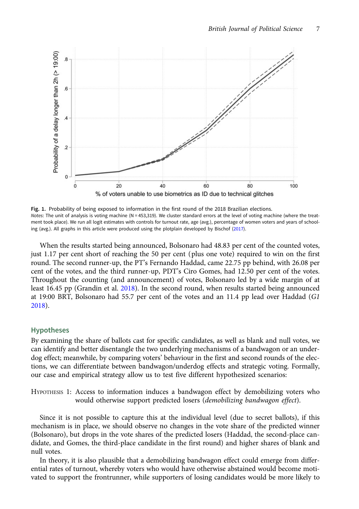<span id="page-6-0"></span>

Fig. 1. Probability of being exposed to information in the first round of the 2018 Brazilian elections. Notes: The unit of analysis is voting machine (N = 453,319). We cluster standard errors at the level of voting machine (where the treatment took place). We run all logit estimates with controls for turnout rate, age (avg.), percentage of women voters and years of schooling (avg.). All graphs in this article were produced using the plotplain developed by Bischof ([2017\)](#page-16-0).

When the results started being announced, Bolsonaro had 48.83 per cent of the counted votes, just 1.17 per cent short of reaching the 50 per cent (plus one vote) required to win on the first round. The second runner-up, the PT's Fernando Haddad, came 22.75 pp behind, with 26.08 per cent of the votes, and the third runner-up, PDT's Ciro Gomes, had 12.50 per cent of the votes. Throughout the counting (and announcement) of votes, Bolsonaro led by a wide margin of at least 16.45 pp (Grandin et al. [2018](#page-17-0)). In the second round, when results started being announced at 19:00 BRT, Bolsonaro had 55.7 per cent of the votes and an 11.4 pp lead over Haddad (G1 [2018](#page-17-0)).

## Hypotheses

By examining the share of ballots cast for specific candidates, as well as blank and null votes, we can identify and better disentangle the two underlying mechanisms of a bandwagon or an underdog effect; meanwhile, by comparing voters' behaviour in the first and second rounds of the elections, we can differentiate between bandwagon/underdog effects and strategic voting. Formally, our case and empirical strategy allow us to test five different hypothesized scenarios:

HYPOTHESIS 1: Access to information induces a bandwagon effect by demobilizing voters who would otherwise support predicted losers (demobilizing bandwagon effect).

Since it is not possible to capture this at the individual level (due to secret ballots), if this mechanism is in place, we should observe no changes in the vote share of the predicted winner (Bolsonaro), but drops in the vote shares of the predicted losers (Haddad, the second-place candidate, and Gomes, the third-place candidate in the first round) and higher shares of blank and null votes.

In theory, it is also plausible that a demobilizing bandwagon effect could emerge from differential rates of turnout, whereby voters who would have otherwise abstained would become motivated to support the frontrunner, while supporters of losing candidates would be more likely to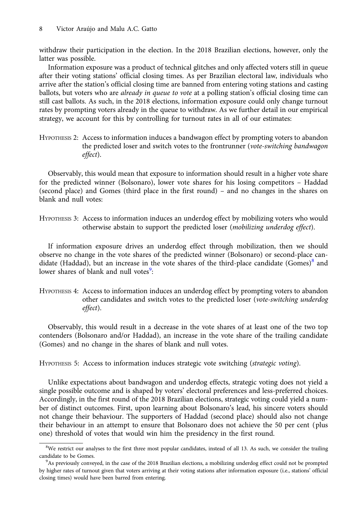withdraw their participation in the election. In the 2018 Brazilian elections, however, only the latter was possible.

Information exposure was a product of technical glitches and only affected voters still in queue after their voting stations' official closing times. As per Brazilian electoral law, individuals who arrive after the station's official closing time are banned from entering voting stations and casting ballots, but voters who are *already in queue to vote* at a polling station's official closing time can still cast ballots. As such, in the 2018 elections, information exposure could only change turnout rates by prompting voters already in the queue to withdraw. As we further detail in our empirical strategy, we account for this by controlling for turnout rates in all of our estimates:

HYPOTHESIS 2: Access to information induces a bandwagon effect by prompting voters to abandon the predicted loser and switch votes to the frontrunner (vote-switching bandwagon effect).

Observably, this would mean that exposure to information should result in a higher vote share for the predicted winner (Bolsonaro), lower vote shares for his losing competitors – Haddad (second place) and Gomes (third place in the first round) – and no changes in the shares on blank and null votes:

HYPOTHESIS 3: Access to information induces an underdog effect by mobilizing voters who would otherwise abstain to support the predicted loser (mobilizing underdog effect).

If information exposure drives an underdog effect through mobilization, then we should observe no change in the vote shares of the predicted winner (Bolsonaro) or second-place candidate (Haddad), but an increase in the vote shares of the third-place candidate (Gomes)<sup>8</sup> and lower shares of blank and null votes<sup>9</sup>:

HYPOTHESIS 4: Access to information induces an underdog effect by prompting voters to abandon other candidates and switch votes to the predicted loser (vote-switching underdog effect).

Observably, this would result in a decrease in the vote shares of at least one of the two top contenders (Bolsonaro and/or Haddad), an increase in the vote share of the trailing candidate (Gomes) and no change in the shares of blank and null votes.

HYPOTHESIS 5: Access to information induces strategic vote switching (strategic voting).

Unlike expectations about bandwagon and underdog effects, strategic voting does not yield a single possible outcome and is shaped by voters' electoral preferences and less-preferred choices. Accordingly, in the first round of the 2018 Brazilian elections, strategic voting could yield a number of distinct outcomes. First, upon learning about Bolsonaro's lead, his sincere voters should not change their behaviour. The supporters of Haddad (second place) should also not change their behaviour in an attempt to ensure that Bolsonaro does not achieve the 50 per cent (plus one) threshold of votes that would win him the presidency in the first round.

<sup>&</sup>lt;sup>8</sup>We restrict our analyses to the first three most popular candidates, instead of all 13. As such, we consider the trailing candidate to be Gomes.

<sup>&</sup>lt;sup>9</sup>As previously conveyed, in the case of the 2018 Brazilian elections, a mobilizing underdog effect could not be prompted by higher rates of turnout given that voters arriving at their voting stations after information exposure (i.e., stations' official closing times) would have been barred from entering.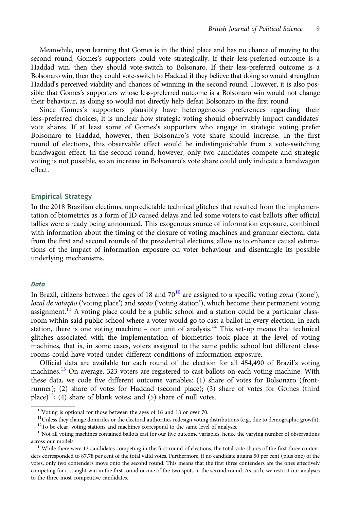Meanwhile, upon learning that Gomes is in the third place and has no chance of moving to the second round, Gomes's supporters could vote strategically. If their less-preferred outcome is a Haddad win, then they should vote-switch to Bolsonaro. If their less-preferred outcome is a Bolsonaro win, then they could vote-switch to Haddad if they believe that doing so would strengthen Haddad's perceived viability and chances of winning in the second round. However, it is also possible that Gomes's supporters whose less-preferred outcome is a Bolsonaro win would not change their behaviour, as doing so would not directly help defeat Bolsonaro in the first round.

Since Gomes's supporters plausibly have heterogeneous preferences regarding their less-preferred choices, it is unclear how strategic voting should observably impact candidates' vote shares. If at least some of Gomes's supporters who engage in strategic voting prefer Bolsonaro to Haddad, however, then Bolsonaro's vote share should increase. In the first round of elections, this observable effect would be indistinguishable from a vote-switching bandwagon effect. In the second round, however, only two candidates compete and strategic voting is not possible, so an increase in Bolsonaro's vote share could only indicate a bandwagon effect.

# Empirical Strategy

In the 2018 Brazilian elections, unpredictable technical glitches that resulted from the implementation of biometrics as a form of ID caused delays and led some voters to cast ballots after official tallies were already being announced. This exogenous source of information exposure, combined with information about the timing of the closure of voting machines and granular electoral data from the first and second rounds of the presidential elections, allow us to enhance causal estimations of the impact of information exposure on voter behaviour and disentangle its possible underlying mechanisms.

#### **Data**

In Brazil, citizens between the ages of 18 and  $70^{10}$  are assigned to a specific voting zona ('zone'), local de votação ('voting place') and seção ('voting station'), which become their permanent voting assignment.<sup>11</sup> A voting place could be a public school and a station could be a particular classroom within said public school where a voter would go to cast a ballot in every election. In each station, there is one voting machine – our unit of analysis.<sup>12</sup> This set-up means that technical glitches associated with the implementation of biometrics took place at the level of voting machines, that is, in some cases, voters assigned to the same public school but different classrooms could have voted under different conditions of information exposure.

Official data are available for each round of the election for all 454,490 of Brazil's voting machines.<sup>13</sup> On average, 323 voters are registered to cast ballots on each voting machine. With these data, we code five different outcome variables: (1) share of votes for Bolsonaro (frontrunner); (2) share of votes for Haddad (second place); (3) share of votes for Gomes (third place)<sup>14</sup>; (4) share of blank votes; and (5) share of null votes.

<sup>10</sup>Voting is optional for those between the ages of 16 and 18 or over 70.

 $11$ Unless they change domiciles or the electoral authorities redesign voting distributions (e.g., due to demographic growth).

<sup>&</sup>lt;sup>12</sup>To be clear, voting stations and machines correspond to the same level of analysis.

<sup>&</sup>lt;sup>13</sup>Not all voting machines contained ballots cast for our five outcome variables, hence the varying number of observations across our models.<br><sup>14</sup>While there were 13 candidates competing in the first round of elections, the total vote shares of the first three conten-

ders corresponded to 87.78 per cent of the total valid votes. Furthermore, if no candidate attains 50 per cent (plus one) of the votes, only two contenders move onto the second round. This means that the first three contenders are the ones effectively competing for a straight win in the first round or one of the two spots in the second round. As such, we restrict our analyses to the three most competitive candidates.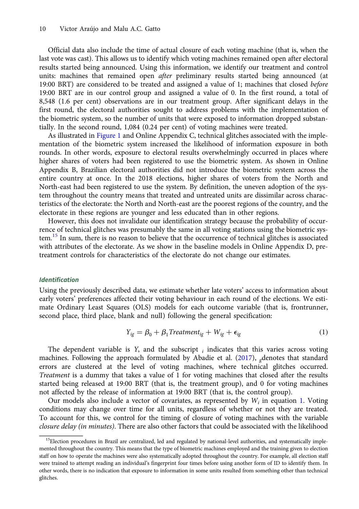Official data also include the time of actual closure of each voting machine (that is, when the last vote was cast). This allows us to identify which voting machines remained open after electoral results started being announced. Using this information, we identify our treatment and control units: machines that remained open *after* preliminary results started being announced (at 19:00 BRT) are considered to be treated and assigned a value of 1; machines that closed before 19:00 BRT are in our control group and assigned a value of 0. In the first round, a total of 8,548 (1.6 per cent) observations are in our treatment group. After significant delays in the first round, the electoral authorities sought to address problems with the implementation of the biometric system, so the number of units that were exposed to information dropped substantially. In the second round, 1,084 (0.24 per cent) of voting machines were treated.

As illustrated in [Figure 1](#page-6-0) and Online Appendix C, technical glitches associated with the implementation of the biometric system increased the likelihood of information exposure in both rounds. In other words, exposure to electoral results overwhelmingly occurred in places where higher shares of voters had been registered to use the biometric system. As shown in Online Appendix B, Brazilian electoral authorities did not introduce the biometric system across the entire country at once. In the 2018 elections, higher shares of voters from the North and North-east had been registered to use the system. By definition, the uneven adoption of the system throughout the country means that treated and untreated units are dissimilar across characteristics of the electorate: the North and North-east are the poorest regions of the country, and the electorate in these regions are younger and less educated than in other regions.

However, this does not invalidate our identification strategy because the probability of occurrence of technical glitches was presumably the same in all voting stations using the biometric system.<sup>15</sup> In sum, there is no reason to believe that the occurrence of technical glitches is associated with attributes of the electorate. As we show in the baseline models in Online Appendix D, pretreatment controls for characteristics of the electorate do not change our estimates.

### Identification

Using the previously described data, we estimate whether late voters' access to information about early voters' preferences affected their voting behaviour in each round of the elections. We estimate Ordinary Least Squares (OLS) models for each outcome variable (that is, frontrunner, second place, third place, blank and null) following the general specification:

$$
Y_{ig} = \beta_0 + \beta_1 Treatment_{ig} + W_{ig} + \epsilon_{ig}
$$
 (1)

The dependent variable is  $Y$ , and the subscript  $_i$  indicates that this varies across voting machines. Following the approach formulated by Abadie et al.  $(2017)$  $(2017)$ , denotes that standard errors are clustered at the level of voting machines, where technical glitches occurred. Treatment is a dummy that takes a value of 1 for voting machines that closed after the results started being released at 19:00 BRT (that is, the treatment group), and 0 for voting machines not affected by the release of information at 19:00 BRT (that is, the control group).

Our models also include a vector of covariates, as represented by  $W_i$  in equation 1. Voting conditions may change over time for all units, regardless of whether or not they are treated. To account for this, we control for the timing of closure of voting machines with the variable closure delay (in minutes). There are also other factors that could be associated with the likelihood

<sup>&</sup>lt;sup>15</sup>Election procedures in Brazil are centralized, led and regulated by national-level authorities, and systematically implemented throughout the country. This means that the type of biometric machines employed and the training given to election staff on how to operate the machines were also systematically adopted throughout the country. For example, all election staff were trained to attempt reading an individual's fingerprint four times before using another form of ID to identify them. In other words, there is no indication that exposure to information in some units resulted from something other than technical glitches.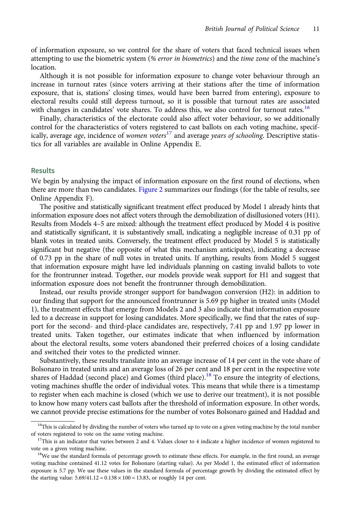of information exposure, so we control for the share of voters that faced technical issues when attempting to use the biometric system (% error in biometrics) and the time zone of the machine's location.

Although it is not possible for information exposure to change voter behaviour through an increase in turnout rates (since voters arriving at their stations after the time of information exposure, that is, stations' closing times, would have been barred from entering), exposure to electoral results could still depress turnout, so it is possible that turnout rates are associated with changes in candidates' vote shares. To address this, we also control for turnout rates.<sup>16</sup>

Finally, characteristics of the electorate could also affect voter behaviour, so we additionally control for the characteristics of voters registered to cast ballots on each voting machine, specifically, average age, incidence of women voters $^{17}$  and average years of schooling. Descriptive statistics for all variables are available in Online Appendix E.

## Results

We begin by analysing the impact of information exposure on the first round of elections, when there are more than two candidates. [Figure 2](#page-11-0) summarizes our findings (for the table of results, see Online Appendix F).

The positive and statistically significant treatment effect produced by Model 1 already hints that information exposure does not affect voters through the demobilization of disillusioned voters (H1). Results from Models 4–5 are mixed: although the treatment effect produced by Model 4 is positive and statistically significant, it is substantively small, indicating a negligible increase of 0.31 pp of blank votes in treated units. Conversely, the treatment effect produced by Model 5 is statistically significant but negative (the opposite of what this mechanism anticipates), indicating a decrease of 0.73 pp in the share of null votes in treated units. If anything, results from Model 5 suggest that information exposure might have led individuals planning on casting invalid ballots to vote for the frontrunner instead. Together, our models provide weak support for H1 and suggest that information exposure does not benefit the frontrunner through demobilization.

Instead, our results provide stronger support for bandwagon conversion (H2): in addition to our finding that support for the announced frontrunner is 5.69 pp higher in treated units (Model 1), the treatment effects that emerge from Models 2 and 3 also indicate that information exposure led to a decrease in support for losing candidates. More specifically, we find that the rates of support for the second- and third-place candidates are, respectively, 7.41 pp and 1.97 pp lower in treated units. Taken together, our estimates indicate that when influenced by information about the electoral results, some voters abandoned their preferred choices of a losing candidate and switched their votes to the predicted winner.

Substantively, these results translate into an average increase of 14 per cent in the vote share of Bolsonaro in treated units and an average loss of 26 per cent and 18 per cent in the respective vote shares of Haddad (second place) and Gomes (third place).<sup>18</sup> To ensure the integrity of elections, voting machines shuffle the order of individual votes. This means that while there is a timestamp to register when each machine is closed (which we use to derive our treatment), it is not possible to know how many voters cast ballots after the threshold of information exposure. In other words, we cannot provide precise estimations for the number of votes Bolsonaro gained and Haddad and

<sup>&</sup>lt;sup>16</sup>This is calculated by dividing the number of voters who turned up to vote on a given voting machine by the total number of voters registered to vote on the same voting machine.<br><sup>17</sup>This is an indicator that varies between 2 and 4. Values closer to 4 indicate a higher incidence of women registered to

vote on a given voting machine.<br><sup>18</sup>We use the standard formula of percentage growth to estimate these effects. For example, in the first round, an average

voting machine contained 41.12 votes for Bolsonaro (starting value). As per Model 1, the estimated effect of information exposure is 5.7 pp. We use these values in the standard formula of percentage growth by dividing the estimated effect by the starting value:  $5.69/41.12 = 0.138 \times 100 = 13.83$ , or roughly 14 per cent.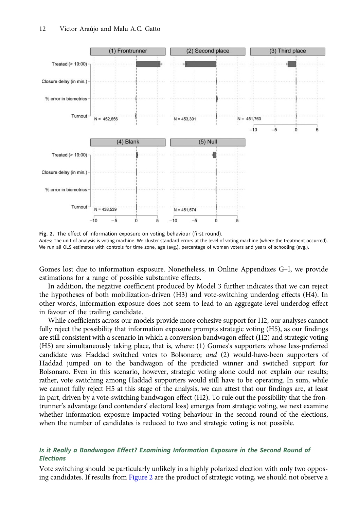<span id="page-11-0"></span>

Fig. 2. The effect of information exposure on voting behaviour (first round). Notes: The unit of analysis is voting machine. We cluster standard errors at the level of voting machine (where the treatment occurred). We run all OLS estimates with controls for time zone, age (avg.), percentage of women voters and years of schooling (avg.).

Gomes lost due to information exposure. Nonetheless, in Online Appendixes G–I, we provide estimations for a range of possible substantive effects.

In addition, the negative coefficient produced by Model 3 further indicates that we can reject the hypotheses of both mobilization-driven (H3) and vote-switching underdog effects (H4). In other words, information exposure does not seem to lead to an aggregate-level underdog effect in favour of the trailing candidate.

While coefficients across our models provide more cohesive support for H2, our analyses cannot fully reject the possibility that information exposure prompts strategic voting (H5), as our findings are still consistent with a scenario in which a conversion bandwagon effect (H2) and strategic voting (H5) are simultaneously taking place, that is, where: (1) Gomes's supporters whose less-preferred candidate was Haddad switched votes to Bolsonaro; and (2) would-have-been supporters of Haddad jumped on to the bandwagon of the predicted winner and switched support for Bolsonaro. Even in this scenario, however, strategic voting alone could not explain our results; rather, vote switching among Haddad supporters would still have to be operating. In sum, while we cannot fully reject H5 at this stage of the analysis, we can attest that our findings are, at least in part, driven by a vote-switching bandwagon effect (H2). To rule out the possibility that the frontrunner's advantage (and contenders' electoral loss) emerges from strategic voting, we next examine whether information exposure impacted voting behaviour in the second round of the elections, when the number of candidates is reduced to two and strategic voting is not possible.

# Is it Really a Bandwagon Effect? Examining Information Exposure in the Second Round of Elections

Vote switching should be particularly unlikely in a highly polarized election with only two opposing candidates. If results from Figure 2 are the product of strategic voting, we should not observe a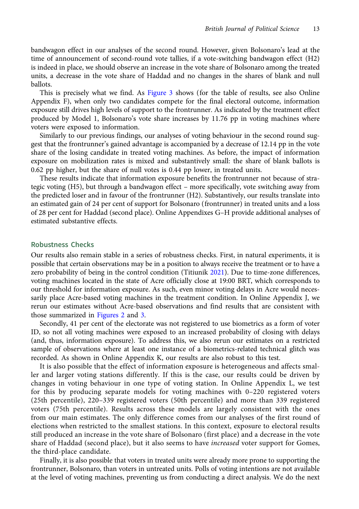bandwagon effect in our analyses of the second round. However, given Bolsonaro's lead at the time of announcement of second-round vote tallies, if a vote-switching bandwagon effect (H2) is indeed in place, we should observe an increase in the vote share of Bolsonaro among the treated units, a decrease in the vote share of Haddad and no changes in the shares of blank and null ballots.

This is precisely what we find. As [Figure 3](#page-13-0) shows (for the table of results, see also Online Appendix F), when only two candidates compete for the final electoral outcome, information exposure still drives high levels of support to the frontrunner. As indicated by the treatment effect produced by Model 1, Bolsonaro's vote share increases by 11.76 pp in voting machines where voters were exposed to information.

Similarly to our previous findings, our analyses of voting behaviour in the second round suggest that the frontrunner's gained advantage is accompanied by a decrease of 12.14 pp in the vote share of the losing candidate in treated voting machines. As before, the impact of information exposure on mobilization rates is mixed and substantively small: the share of blank ballots is 0.62 pp higher, but the share of null votes is 0.44 pp lower, in treated units.

These results indicate that information exposure benefits the frontrunner not because of strategic voting (H5), but through a bandwagon effect – more specifically, vote switching away from the predicted loser and in favour of the frontrunner (H2). Substantively, our results translate into an estimated gain of 24 per cent of support for Bolsonaro (frontrunner) in treated units and a loss of 28 per cent for Haddad (second place). Online Appendixes G–H provide additional analyses of estimated substantive effects.

# Robustness Checks

Our results also remain stable in a series of robustness checks. First, in natural experiments, it is possible that certain observations may be in a position to always receive the treatment or to have a zero probability of being in the control condition (Titiunik [2021\)](#page-18-0). Due to time-zone differences, voting machines located in the state of Acre officially close at 19:00 BRT, which corresponds to our threshold for information exposure. As such, even minor voting delays in Acre would necessarily place Acre-based voting machines in the treatment condition. In Online Appendix J, we rerun our estimates without Acre-based observations and find results that are consistent with those summarized in [Figures 2](#page-11-0) and [3](#page-13-0).

Secondly, 41 per cent of the electorate was not registered to use biometrics as a form of voter ID, so not all voting machines were exposed to an increased probability of closing with delays (and, thus, information exposure). To address this, we also rerun our estimates on a restricted sample of observations where at least one instance of a biometrics-related technical glitch was recorded. As shown in Online Appendix K, our results are also robust to this test.

It is also possible that the effect of information exposure is heterogeneous and affects smaller and larger voting stations differently. If this is the case, our results could be driven by changes in voting behaviour in one type of voting station. In Online Appendix L, we test for this by producing separate models for voting machines with 0–220 registered voters (25th percentile), 220–339 registered voters (50th percentile) and more than 339 registered voters (75th percentile). Results across these models are largely consistent with the ones from our main estimates. The only difference comes from our analyses of the first round of elections when restricted to the smallest stations. In this context, exposure to electoral results still produced an increase in the vote share of Bolsonaro (first place) and a decrease in the vote share of Haddad (second place), but it also seems to have *increased* voter support for Gomes, the third-place candidate.

Finally, it is also possible that voters in treated units were already more prone to supporting the frontrunner, Bolsonaro, than voters in untreated units. Polls of voting intentions are not available at the level of voting machines, preventing us from conducting a direct analysis. We do the next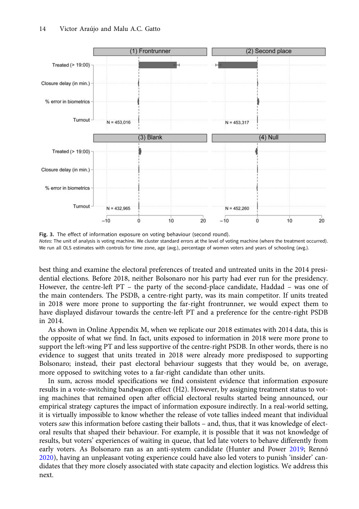<span id="page-13-0"></span>

Fig. 3. The effect of information exposure on voting behaviour (second round). Notes: The unit of analysis is voting machine. We cluster standard errors at the level of voting machine (where the treatment occurred). We run all OLS estimates with controls for time zone, age (avg.), percentage of women voters and years of schooling (avg.).

best thing and examine the electoral preferences of treated and untreated units in the 2014 presidential elections. Before 2018, neither Bolsonaro nor his party had ever run for the presidency. However, the centre-left PT – the party of the second-place candidate, Haddad – was one of the main contenders. The PSDB, a centre-right party, was its main competitor. If units treated in 2018 were more prone to supporting the far-right frontrunner, we would expect them to have displayed disfavour towards the centre-left PT and a preference for the centre-right PSDB in 2014.

As shown in Online Appendix M, when we replicate our 2018 estimates with 2014 data, this is the opposite of what we find. In fact, units exposed to information in 2018 were more prone to support the left-wing PT and less supportive of the centre-right PSDB. In other words, there is no evidence to suggest that units treated in 2018 were already more predisposed to supporting Bolsonaro; instead, their past electoral behaviour suggests that they would be, on average, more opposed to switching votes to a far-right candidate than other units.

In sum, across model specifications we find consistent evidence that information exposure results in a vote-switching bandwagon effect (H2). However, by assigning treatment status to voting machines that remained open after official electoral results started being announced, our empirical strategy captures the impact of information exposure indirectly. In a real-world setting, it is virtually impossible to know whether the release of vote tallies indeed meant that individual voters saw this information before casting their ballots – and, thus, that it was knowledge of electoral results that shaped their behaviour. For example, it is possible that it was not knowledge of results, but voters' experiences of waiting in queue, that led late voters to behave differently from early voters. As Bolsonaro ran as an anti-system candidate (Hunter and Power [2019](#page-17-0); Rennó [2020\)](#page-17-0), having an unpleasant voting experience could have also led voters to punish 'insider' candidates that they more closely associated with state capacity and election logistics. We address this next.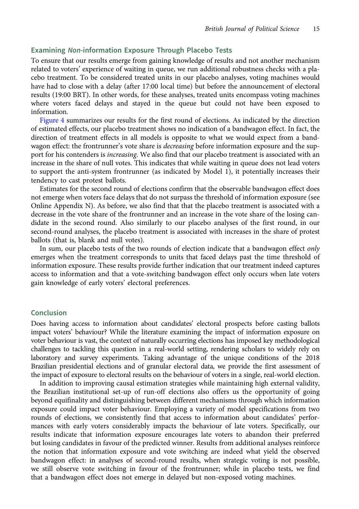# Examining Non-information Exposure Through Placebo Tests

To ensure that our results emerge from gaining knowledge of results and not another mechanism related to voters' experience of waiting in queue, we run additional robustness checks with a placebo treatment. To be considered treated units in our placebo analyses, voting machines would have had to close with a delay (after 17:00 local time) but before the announcement of electoral results (19:00 BRT). In other words, for these analyses, treated units encompass voting machines where voters faced delays and stayed in the queue but could not have been exposed to information.

[Figure 4](#page-15-0) summarizes our results for the first round of elections. As indicated by the direction of estimated effects, our placebo treatment shows no indication of a bandwagon effect. In fact, the direction of treatment effects in all models is opposite to what we would expect from a bandwagon effect: the frontrunner's vote share is *decreasing* before information exposure and the support for his contenders is *increasing*. We also find that our placebo treatment is associated with an increase in the share of null votes. This indicates that while waiting in queue does not lead voters to support the anti-system frontrunner (as indicated by Model 1), it potentially increases their tendency to cast protest ballots.

Estimates for the second round of elections confirm that the observable bandwagon effect does not emerge when voters face delays that do not surpass the threshold of information exposure (see Online Appendix N). As before, we also find that that the placebo treatment is associated with a decrease in the vote share of the frontrunner and an increase in the vote share of the losing candidate in the second round. Also similarly to our placebo analyses of the first round, in our second-round analyses, the placebo treatment is associated with increases in the share of protest ballots (that is, blank and null votes).

In sum, our placebo tests of the two rounds of election indicate that a bandwagon effect only emerges when the treatment corresponds to units that faced delays past the time threshold of information exposure. These results provide further indication that our treatment indeed captures access to information and that a vote-switching bandwagon effect only occurs when late voters gain knowledge of early voters' electoral preferences.

# Conclusion

Does having access to information about candidates' electoral prospects before casting ballots impact voters' behaviour? While the literature examining the impact of information exposure on voter behaviour is vast, the context of naturally occurring elections has imposed key methodological challenges to tackling this question in a real-world setting, rendering scholars to widely rely on laboratory and survey experiments. Taking advantage of the unique conditions of the 2018 Brazilian presidential elections and of granular electoral data, we provide the first assessment of the impact of exposure to electoral results on the behaviour of voters in a single, real-world election.

In addition to improving causal estimation strategies while maintaining high external validity, the Brazilian institutional set-up of run-off elections also offers us the opportunity of going beyond equifinality and distinguishing between different mechanisms through which information exposure could impact voter behaviour. Employing a variety of model specifications from two rounds of elections, we consistently find that access to information about candidates' performances with early voters considerably impacts the behaviour of late voters. Specifically, our results indicate that information exposure encourages late voters to abandon their preferred but losing candidates in favour of the predicted winner. Results from additional analyses reinforce the notion that information exposure and vote switching are indeed what yield the observed bandwagon effect: in analyses of second-round results, when strategic voting is not possible, we still observe vote switching in favour of the frontrunner; while in placebo tests, we find that a bandwagon effect does not emerge in delayed but non-exposed voting machines.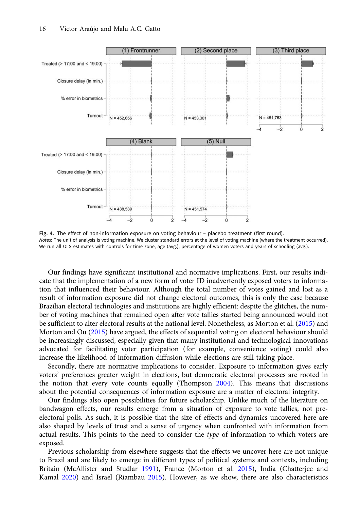<span id="page-15-0"></span>

Fig. 4. The effect of non-information exposure on voting behaviour – placebo treatment (first round). Notes: The unit of analysis is voting machine. We cluster standard errors at the level of voting machine (where the treatment occurred). We run all OLS estimates with controls for time zone, age (avg.), percentage of women voters and years of schooling (avg.).

Our findings have significant institutional and normative implications. First, our results indicate that the implementation of a new form of voter ID inadvertently exposed voters to information that influenced their behaviour. Although the total number of votes gained and lost as a result of information exposure did not change electoral outcomes, this is only the case because Brazilian electoral technologies and institutions are highly efficient: despite the glitches, the number of voting machines that remained open after vote tallies started being announced would not be sufficient to alter electoral results at the national level. Nonetheless, as Morton et al. ([2015](#page-17-0)) and Morton and Ou ([2015\)](#page-17-0) have argued, the effects of sequential voting on electoral behaviour should be increasingly discussed, especially given that many institutional and technological innovations advocated for facilitating voter participation (for example, convenience voting) could also increase the likelihood of information diffusion while elections are still taking place.

Secondly, there are normative implications to consider. Exposure to information gives early voters' preferences greater weight in elections, but democratic electoral processes are rooted in the notion that every vote counts equally (Thompson [2004\)](#page-18-0). This means that discussions about the potential consequences of information exposure are a matter of electoral integrity.

Our findings also open possibilities for future scholarship. Unlike much of the literature on bandwagon effects, our results emerge from a situation of exposure to vote tallies, not preelectoral polls. As such, it is possible that the size of effects and dynamics uncovered here are also shaped by levels of trust and a sense of urgency when confronted with information from actual results. This points to the need to consider the *type* of information to which voters are exposed.

Previous scholarship from elsewhere suggests that the effects we uncover here are not unique to Brazil and are likely to emerge in different types of political systems and contexts, including Britain (McAllister and Studlar [1991](#page-17-0)), France (Morton et al. [2015](#page-17-0)), India (Chatterjee and Kamal [2020\)](#page-16-0) and Israel (Riambau [2015\)](#page-18-0). However, as we show, there are also characteristics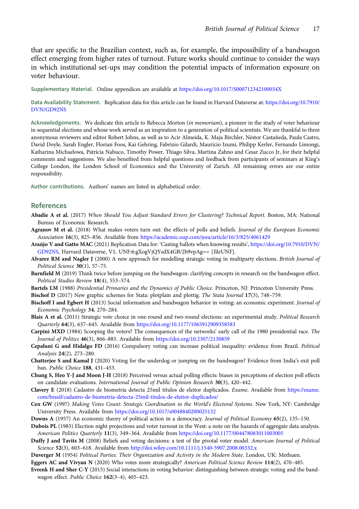<span id="page-16-0"></span>that are specific to the Brazilian context, such as, for example, the impossibility of a bandwagon effect emerging from higher rates of turnout. Future works should continue to consider the ways in which institutional set-ups may condition the potential impacts of information exposure on voter behaviour.

Supplementary Material. Online appendices are available at <https://doi.org/10.1017/S000712342100034X>

Data Availability Statement. Replication data for this article can be found in Harvard Dataverse at: [https://doi.org/10.7910/](https://doi.org/10.7910/DVN/GD92NS) [DVN/GD92NS](https://doi.org/10.7910/DVN/GD92NS)

Acknowledgements. We dedicate this article to Rebecca Morton (in memoriam), a pioneer in the study of voter behaviour in sequential elections and whose work served as an inspiration to a generation of political scientists. We are thankful to three anonymous reviewers and editor Robert Johns, as well as to Acir Almeida, K. Maja Birchler, Néstor Castañeda, Paula Castro, David Doyle, Sarah Engler, Florian Foos, Kai Gehring, Fabrizio Gilardi, Maurício Izumi, Philipp Kerler, Fernando Limongi, Katharina Michaelowa, Patrícia Nabuco, Timothy Power, Thiago Silva, Martina Zahno and Cesar Zucco Jr, for their helpful comments and suggestions. We also benefited from helpful questions and feedback from participants of seminars at King's College London, the London School of Economics and the University of Zurich. All remaining errors are our entire responsibility.

Author contributions. Authors' names are listed in alphabetical order.

## References

- Abadie A et al. (2017) When Should You Adjust Standard Errors for Clustering? Technical Report. Boston, MA: National Bureau of Economic Research.
- Agranov M et al. (2018) What makes voters turn out: the effects of polls and beliefs. Journal of the European Economic Association 16(3), 825–856. Available from <https://academic.oup.com/jeea/article/16/3/825/4061429>
- Araújo V and Gatto MAC (2021) Replication Data for: 'Casting ballots when knowing results', [https://doi.org/10.7910/DVN/](https://doi.org/10.7910/DVN/GD92NS) [GD92NS](https://doi.org/10.7910/DVN/GD92NS), Harvard Dataverse, V1, UNF:6:gXogVjQYsdX4GB/2b9vpAg== [fileUNF].
- Alvarez RM and Nagler J (2000) A new approach for modelling strategic voting in multiparty elections. British Journal of Political Science 30(1), 57–75.
- Barnfield M (2019) Think twice before jumping on the bandwagon: clarifying concepts in research on the bandwagon effect. Political Studies Review 18(4), 553–574.

Bartels LM (1988) Presidential Primaries and the Dynamics of Public Choice. Princeton, NJ: Princeton University Press.

Bischof D (2017) New graphic schemes for Stata: plotplain and plottig. The Stata Journal 17(3), 748–759.

- Bischoff I and Egbert H (2013) Social information and bandwagon behavior in voting: an economic experiment. Journal of Economic Psychology 34, 270–284.
- Blais A et al. (2011) Strategic vote choice in one-round and two-round elections: an experimental study. Political Research Quarterly 64(3), 637–645. Available from <https://doi.org/10.1177/1065912909358583>
- Carpini MXD (1984) Scooping the voters? The consequences of the networks' early call of the 1980 presidential race. The Journal of Politics 46(3), 866–885. Available from <https://doi.org/10.2307/2130859>
- Cepaluni G and Hidalgo FD (2016) Compulsory voting can increase political inequality: evidence from Brazil. Political Analysis 24(2), 273–280.
- Chatterjee S and Kamal J (2020) Voting for the underdog or jumping on the bandwagon? Evidence from India's exit poll ban. Public Choice 188, 431–453.
- Chung S, Heo Y-J and Moon J-H (2018) Perceived versus actual polling effects: biases in perceptions of election poll effects on candidate evaluations. International Journal of Public Opinion Research 30(3), 420–442.
- Clavery E (2018) Cadastro de biometria detecta 25mil títulos de eleitor duplicados. Exame. Available from [https://exame.](https://exame.com/brasil/cadastro-de-biometria-detecta-25mil-titulos-de-eleitor-duplicados/) [com/brasil/cadastro-de-biometria-detecta-25mil-titulos-de-eleitor-duplicados/](https://exame.com/brasil/cadastro-de-biometria-detecta-25mil-titulos-de-eleitor-duplicados/)
- Cox GW (1997) Making Votes Count: Strategic Coordination in the World's Electoral Systems. New York, NY: Cambridge University Press. Available from <https://doi.org/10.1017/s0048840200025132>
- Downs A (1957) An economic theory of political action in a democracy. Journal of Political Economy 65(2), 135–150.
- Dubois PL (1983) Election night projections and voter turnout in the West: a note on the hazards of aggregate data analysis. American Politics Quarterly 11(3), 349–364. Available from <https://doi.org/10.1177/004478083011003005>
- Duffy J and Tavits M (2008) Beliefs and voting decisions: a test of the pivotal voter model. American Journal of Political Science 52(3), 603-618. Available from <http://doi.wiley.com/10.1111/j.1540-5907.2008.00332.x>
- Duverger M (1954) Political Parties: Their Organization and Activity in the Modern State. London, UK: Methuen.
- Eggers AC and Vivyan N (2020) Who votes more strategically? American Political Science Review 114(2), 470-485.
- Evrenk H and Sher C-Y (2015) Social interactions in voting behavior: distinguishing between strategic voting and the bandwagon effect. Public Choice 162(3–4), 405–423.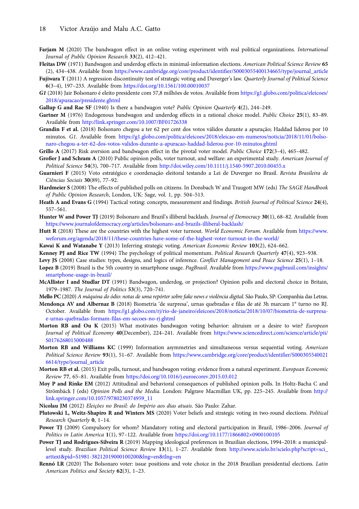- <span id="page-17-0"></span>Farjam M (2020) The bandwagon effect in an online voting experiment with real political organizations. International Journal of Public Opinion Research 33(2), 412–421.
- Fleitas DW (1971) Bandwagon and underdog effects in minimal-information elections. American Political Science Review 65 (2), 434–438. Available from [https://www.cambridge.org/core/product/identifier/S0003055400134665/type/journal\\_article](https://www.cambridge.org/core/product/identifier/S0003055400134665/type/journal_article)
- Fujiwara T (2011) A regression discontinuity test of strategic voting and Duverger's law. Quarterly Journal of Political Science 6(3–4), 197–233. Available from <https://doi.org/10.1561/100.00010037>
- G1 (2018) Jair Bolsonaro é eleito presidente com 57,8 milhões de votos. Available from [https://g1.globo.com/politica/eleicoes/](https://g1.globo.com/politica/eleicoes/2018/apuracao/presidente.ghtml) [2018/apuracao/presidente.ghtml](https://g1.globo.com/politica/eleicoes/2018/apuracao/presidente.ghtml)
- Gallup G and Rae SF (1940) Is there a bandwagon vote? Public Opinion Quarterly 4(2), 244-249.
- Gartner M (1976) Endogenous bandwagon and underdog effects in a rational choice model. Public Choice 25(1), 83–89. Available from <http://link.springer.com/10.1007/BF01726338>
- Grandin F et al. (2018) Bolsonaro chegou a ter 62 per cent dos votos válidos durante a apuração; Haddad liderou por 10 minutos. G1. Available from [https://g1.globo.com/politica/eleicoes/2018/eleicao-em-numeros/noticia/2018/11/01/bolso](https://g1.globo.com/politica/eleicoes/2018/eleicao-em-numeros/noticia/2018/11/01/bolsonaro-chegou-a-ter-62-dos-votos-validos-durante-a-apuracao-haddad-liderou-por-10-minutos.ghtml)[naro-chegou-a-ter-62-dos-votos-validos-durante-a-apuracao-haddad-liderou-por-10-minutos.ghtml](https://g1.globo.com/politica/eleicoes/2018/eleicao-em-numeros/noticia/2018/11/01/bolsonaro-chegou-a-ter-62-dos-votos-validos-durante-a-apuracao-haddad-liderou-por-10-minutos.ghtml)
- Grillo A (2017) Risk aversion and bandwagon effect in the pivotal voter model. Public Choice 172(3-4), 465-482.
- Großer J and Schram A (2010) Public opinion polls, voter turnout, and welfare: an experimental study. American Journal of Political Science 54(3), 700–717. Available from <http://doi.wiley.com/10.1111/j.1540-5907.2010.00455.x>
- Guarnieri F (2015) Voto estratégico e coordenação eleitoral testando a Lei de Duverger no Brasil. Revista Brasileira de Ciências Sociais 30(89), 77–92.
- Hardmeier S (2008) The effects of published polls on citizens. In Donsbach W and Traugott MW (eds) The SAGE Handbook of Public Opinion Research, London, UK: Sage, vol. 1, pp. 504–513.
- Heath A and Evans G (1994) Tactical voting: concepts, measurement and findings. British Journal of Political Science 24(4), 557–561.
- Hunter W and Power TJ (2019) Bolsonaro and Brazil's illiberal backlash. Journal of Democracy 30(1), 68-82. Available from <https://www.journalofdemocracy.org/articles/bolsonaro-and-brazils-illiberal-backlash/>
- Hutt R (2018) These are the countries with the highest voter turnout. World Economic Forum. Available from [https://www.](https://www.weforum.org/agenda/2018/11/these-countries-have-some-of-the-highest-voter-turnout-in-the-world/) [weforum.org/agenda/2018/11/these-countries-have-some-of-the-highest-voter-turnout-in-the-world/](https://www.weforum.org/agenda/2018/11/these-countries-have-some-of-the-highest-voter-turnout-in-the-world/)
- Kawai K and Watanabe Y (2013) Inferring strategic voting. American Economic Review 103(2), 624-662.
- Kenney PJ and Rice TW (1994) The psychology of political momentum. Political Research Quarterly 47(4), 923-938.
- Levy JS (2008) Case studies: types, designs, and logics of inference. Conflict Management and Peace Science 25(1), 1-18.
- Lopez B (2019) Brazil is the 5th country in smartphone usage. PagBrasil. Available from [https://www.pagbrasil.com/insights/](https://www.pagbrasil.com/insights/smartphone-usage-in-brazil/) [smartphone-usage-in-brazil/](https://www.pagbrasil.com/insights/smartphone-usage-in-brazil/)
- McAllister I and Studlar DT (1991) Bandwagon, underdog, or projection? Opinion polls and electoral choice in Britain, 1979–1987. The Journal of Politics 53(3), 720–741.
- Mello PC (2020) A máquina do ódio: notas de uma repórter sobre fake news e violência digital. São Paulo, SP: Companhia das Letras.
- Mendonça AV and Albernaz B (2018) Biometria 'de surpresa', urnas quebradas e filas de até 3h marcam 1° turno no RJ. October. Available from [https://g1.globo.com/rj/rio-de-janeiro/eleicoes/2018/noticia/2018/10/07/biometria-de-surpresa](https://g1.globo.com/rj/rio-de-janeiro/eleicoes/2018/noticia/2018/10/07/biometria-de-surpresa-e-urnas-quebradas-formam-filas-em-secoes-no-rj.ghtml)[e-urnas-quebradas-formam-filas-em-secoes-no-rj.ghtml](https://g1.globo.com/rj/rio-de-janeiro/eleicoes/2018/noticia/2018/10/07/biometria-de-surpresa-e-urnas-quebradas-formam-filas-em-secoes-no-rj.ghtml)
- Morton RB and Ou K (2015) What motivates bandwagon voting behavior: altruism or a desire to win? European Journal of Political Economy 40(December), 224-241. Available from [https://www.sciencedirect.com/science/article/pii/](https://www.sciencedirect.com/science/article/pii/S0176268015000488) [S0176268015000488](https://www.sciencedirect.com/science/article/pii/S0176268015000488)
- Morton RB and Williams KC (1999) Information asymmetries and simultaneous versus sequential voting. American Political Science Review 93(1), 51–67. Available from [https://www.cambridge.org/core/product/identifier/S000305540021](https://www.cambridge.org/core/product/identifier/S0003055400216614/type/journal_article) [6614/type/journal\\_article](https://www.cambridge.org/core/product/identifier/S0003055400216614/type/journal_article)
- Morton RB et al. (2015) Exit polls, turnout, and bandwagon voting: evidence from a natural experiment. European Economic Review 77, 65–81. Available from <https://doi.org/10.1016/j.euroecorev.2015.03.012>
- Moy P and Rinke EM (2012) Attitudinal and behavioral consequences of published opinion polls. In Holtz-Bacha C and Strömbäck J (eds) Opinion Polls and the Media. London: Palgrave Macmillan UK, pp. 225–245. Available from [http://](http://link.springer.com/10.1057/9780230374959_11) [link.springer.com/10.1057/9780230374959\\_11](http://link.springer.com/10.1057/9780230374959_11)
- Nicolau JM (2012) Eleições no Brasil: do Império aos dias atuais. São Paulo: Zahar.
- Plutowski L, Weitz-Shapiro R and Winters MS (2020) Voter beliefs and strategic voting in two-round elections. Political Research Quarterly 0, 1–14.
- Power TJ (2009) Compulsory for whom? Mandatory voting and electoral participation in Brazil, 1986-2006. Journal of Politics in Latin America 1(1), 97-122. Available from <https://doi.org/10.1177/1866802×0900100105>
- Power TJ and Rodrigues-Silveira R (2019) Mapping ideological preferences in Brazilian elections, 1994-2018: a municipallevel study. Brazilian Political Science Review 13(1), 1–27. Available from [http://www.scielo.br/scielo.php?script=sci\\_](http://www.scielo.br/scielo.php?script=sci_arttext&pid=S1981-38212019000100200&lng=en&tlng=en) [arttext&pid=S1981-38212019000100200&lng=en&tlng=en](http://www.scielo.br/scielo.php?script=sci_arttext&pid=S1981-38212019000100200&lng=en&tlng=en)
- Rennó LR (2020) The Bolsonaro voter: issue positions and vote choice in the 2018 Brazilian presidential elections. Latin American Politics and Society 62(3), 1–23.